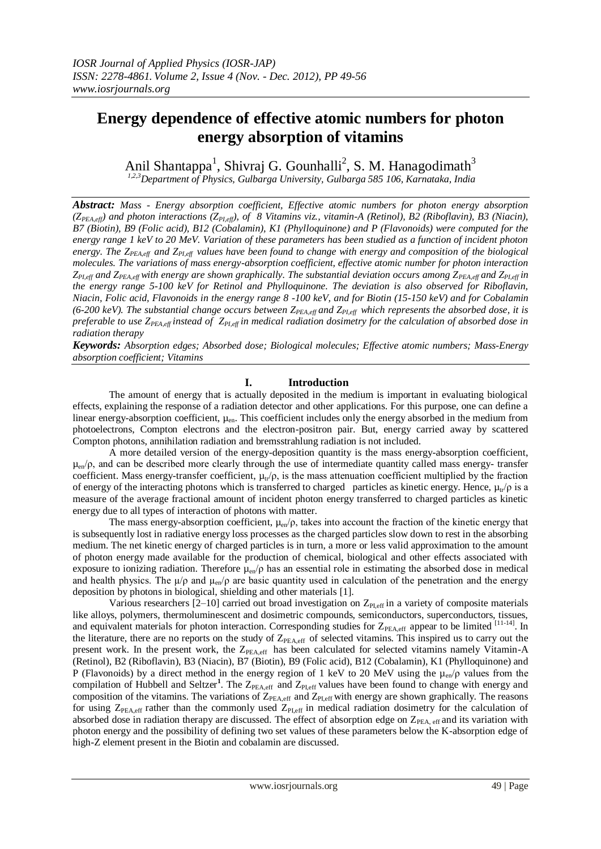# **Energy dependence of effective atomic numbers for photon energy absorption of vitamins**

Anil Shantappa<sup>1</sup>, Shivraj G. Gounhalli<sup>2</sup>, S. M. Hanagodimath<sup>3</sup> *1,2,3Department of Physics, Gulbarga University, Gulbarga 585 106, Karnataka, India*

*Abstract: Mass - Energy absorption coefficient, Effective atomic numbers for photon energy absorption (ZPEA,eff) and photon interactions (ZPI,eff), of 8 Vitamins viz., vitamin-A (Retinol), B2 (Riboflavin), B3 (Niacin), B7 (Biotin), B9 (Folic acid), B12 (Cobalamin), K1 (Phylloquinone) and P (Flavonoids) were computed for the energy range 1 keV to 20 MeV. Variation of these parameters has been studied as a function of incident photon energy. The ZPEA,eff and ZPI,eff values have been found to change with energy and composition of the biological molecules. The variations of mass energy-absorption coefficient, effective atomic number for photon interaction ZPI,eff and ZPEA,eff with energy are shown graphically. The substantial deviation occurs among ZPEA,eff and ZPI,eff in the energy range 5-100 keV for Retinol and Phylloquinone. The deviation is also observed for Riboflavin, Niacin, Folic acid, Flavonoids in the energy range 8 -100 keV, and for Biotin (15-150 keV) and for Cobalamin (6-200 keV). The substantial change occurs between ZPEA,eff and ZPI,eff which represents the absorbed dose, it is preferable to use ZPEA,eff instead of ZPI,eff in medical radiation dosimetry for the calculation of absorbed dose in radiation therapy*

*Keywords: Absorption edges; Absorbed dose; Biological molecules; Effective atomic numbers; Mass-Energy absorption coefficient; Vitamins*

# **I. Introduction**

The amount of energy that is actually deposited in the medium is important in evaluating biological effects, explaining the response of a radiation detector and other applications. For this purpose, one can define a linear energy-absorption coefficient,  $\mu_{en}$ . This coefficient includes only the energy absorbed in the medium from photoelectrons, Compton electrons and the electron-positron pair. But, energy carried away by scattered Compton photons, annihilation radiation and bremsstrahlung radiation is not included.

A more detailed version of the energy-deposition quantity is the mass energy-absorption coefficient,  $\mu_{en}/\rho$ , and can be described more clearly through the use of intermediate quantity called mass energy- transfer coefficient. Mass energy-transfer coefficient,  $\mu_{tr}/\rho$ , is the mass attenuation coefficient multiplied by the fraction of energy of the interacting photons which is transferred to charged particles as kinetic energy. Hence,  $\mu_{tr}/\rho$  is a measure of the average fractional amount of incident photon energy transferred to charged particles as kinetic energy due to all types of interaction of photons with matter.

The mass energy-absorption coefficient,  $\mu_{en}/\rho$ , takes into account the fraction of the kinetic energy that is subsequently lost in radiative energy loss processes as the charged particles slow down to rest in the absorbing medium. The net kinetic energy of charged particles is in turn, a more or less valid approximation to the amount of photon energy made available for the production of chemical, biological and other effects associated with exposure to ionizing radiation. Therefore  $\mu_{en}/\rho$  has an essential role in estimating the absorbed dose in medical and health physics. The  $\mu/\rho$  and  $\mu_{en}/\rho$  are basic quantity used in calculation of the penetration and the energy deposition by photons in biological, shielding and other materials [1].

Various researchers  $[2-10]$  carried out broad investigation on  $Z_{PLeff}$  in a variety of composite materials like alloys, polymers, thermoluminescent and dosimetric compounds, semiconductors, superconductors, tissues, and equivalent materials for photon interaction. Corresponding studies for  $Z_{PEA,eff}$  appear to be limited  $^{[11-14]}$ . In the literature, there are no reports on the study of Z<sub>PEA,eff</sub> of selected vitamins. This inspired us to carry out the present work. In the present work, the  $Z_{PFA,eff}$  has been calculated for selected vitamins namely Vitamin-A (Retinol), B2 (Riboflavin), B3 (Niacin), B7 (Biotin), B9 (Folic acid), B12 (Cobalamin), K1 (Phylloquinone) and P (Flavonoids) by a direct method in the energy region of 1 keV to 20 MeV using the  $\mu_{en}/\rho$  values from the compilation of Hubbell and Seltzer<sup>1</sup>. The Z<sub>PEA,eff</sub> and Z<sub>PI,eff</sub> values have been found to change with energy and composition of the vitamins. The variations of  $Z_{PEA,eff}$  and  $Z_{PL,eff}$  with energy are shown graphically. The reasons for using Z<sub>PEA,eff</sub> rather than the commonly used Z<sub>PI,eff</sub> in medical radiation dosimetry for the calculation of absorbed dose in radiation therapy are discussed. The effect of absorption edge on Z<sub>PEA, eff</sub> and its variation with photon energy and the possibility of defining two set values of these parameters below the K-absorption edge of high-Z element present in the Biotin and cobalamin are discussed.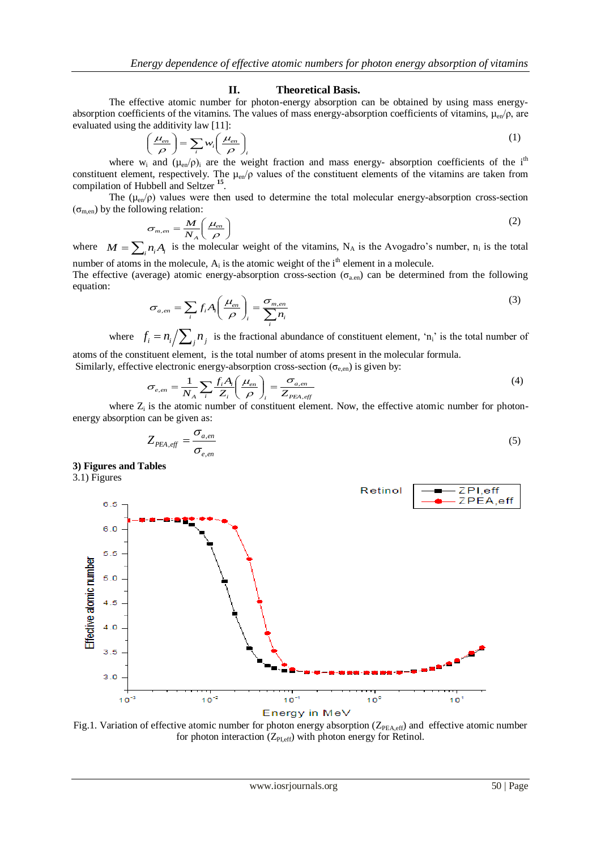## **II. Theoretical Basis.**

The effective atomic number for photon-energy absorption can be obtained by using mass energyabsorption coefficients of the vitamins. The values of mass energy-absorption coefficients of vitamins,  $\mu_{en}/\rho$ , are evaluated using the additivity law [11]:

$$
\left(\frac{\mu_{en}}{\rho}\right) = \sum_{i} w_i \left(\frac{\mu_{en}}{\rho}\right)_i
$$
\n(1)

where w<sub>i</sub> and  $(\mu_{en}/\rho)$  are the weight fraction and mass energy- absorption coefficients of the i<sup>th</sup> constituent element, respectively. The  $\mu_{en}/\rho$  values of the constituent elements of the vitamins are taken from compilation of Hubbell and Seltzer **<sup>15</sup>** .

The  $(\mu_{en}/\rho)$  values were then used to determine the total molecular energy-absorption cross-section  $(\sigma_{\text{mean}})$  by the following relation:

$$
\sigma_{m,en} = \frac{M}{N_A} \left( \frac{\mu_{en}}{\rho} \right)
$$
\n(2)

where  $M = \sum_i n_i A_i$  is the molecular weight of the vitamins, N<sub>A</sub> is the Avogadro's number, n<sub>i</sub> is the total number of atoms in the molecule,  $A_i$  is the atomic weight of the  $i<sup>th</sup>$  element in a molecule.

The effective (average) atomic energy-absorption cross-section ( $\sigma_{a.en}$ ) can be determined from the following equation:

$$
\sigma_{a,en} = \sum_{i} f_i A_i \left( \frac{\mu_{en}}{\rho} \right)_i = \frac{\sigma_{m,en}}{\sum_{i} n_i} \tag{3}
$$

where  $f_i = n_i / \sum_j n_j$  is the fractional abundance of constituent element, 'n<sub>i</sub>' is the total number of atoms of the constituent element, is the total number of atoms present in the molecular formula.

Similarly, effective electronic energy-absorption cross-section ( $\sigma_{e, en}$ ) is given by:

$$
\sigma_{e, en} = \frac{1}{N_A} \sum_{i} \frac{f_i A_i}{Z_i} \left(\frac{\mu_{en}}{\rho}\right)_i = \frac{\sigma_{a, en}}{Z_{PEA, eff}}
$$
(4)

where  $Z_i$  is the atomic number of constituent element. Now, the effective atomic number for photonenergy absorption can be given as:

$$
Z_{PEA,eff} = \frac{\sigma_{a,en}}{\sigma_{e,en}}
$$
 (5)

## **3) Figures and Tables**

3.1) Figures



Fig.1. Variation of effective atomic number for photon energy absorption (Z<sub>PEA,eff</sub>) and effective atomic number for photon interaction  $(Z_{PLeff})$  with photon energy for Retinol.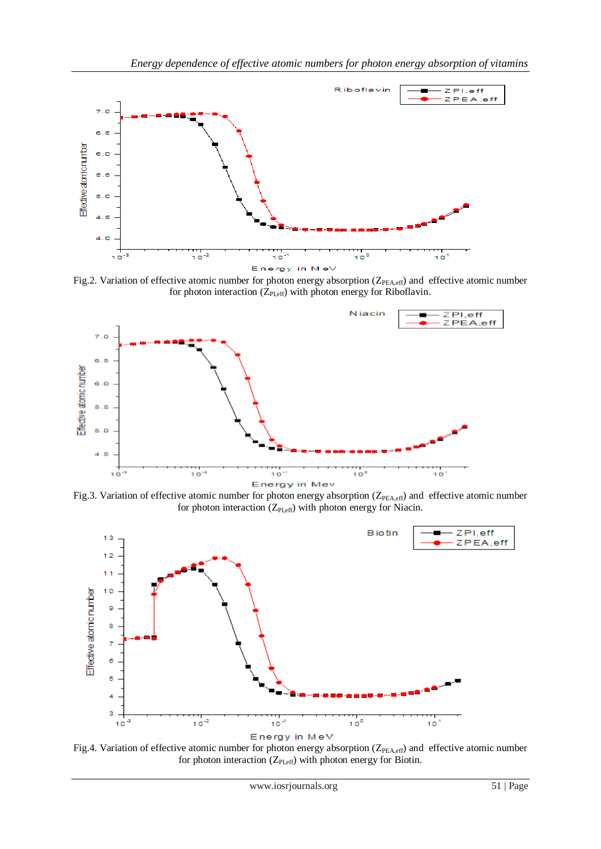

Fig.2. Variation of effective atomic number for photon energy absorption (Z<sub>PEA,eff</sub>) and effective atomic number for photon interaction  $(Z_{\text{PLeft}})$  with photon energy for Riboflavin.



Fig.3. Variation of effective atomic number for photon energy absorption (Z<sub>PEA,eff</sub>) and effective atomic number for photon interaction  $(Z_{PI,eff})$  with photon energy for Niacin.



Fig.4. Variation of effective atomic number for photon energy absorption (Z<sub>PEA,eff</sub>) and effective atomic number for photon interaction  $(Z_{PLeff})$  with photon energy for Biotin.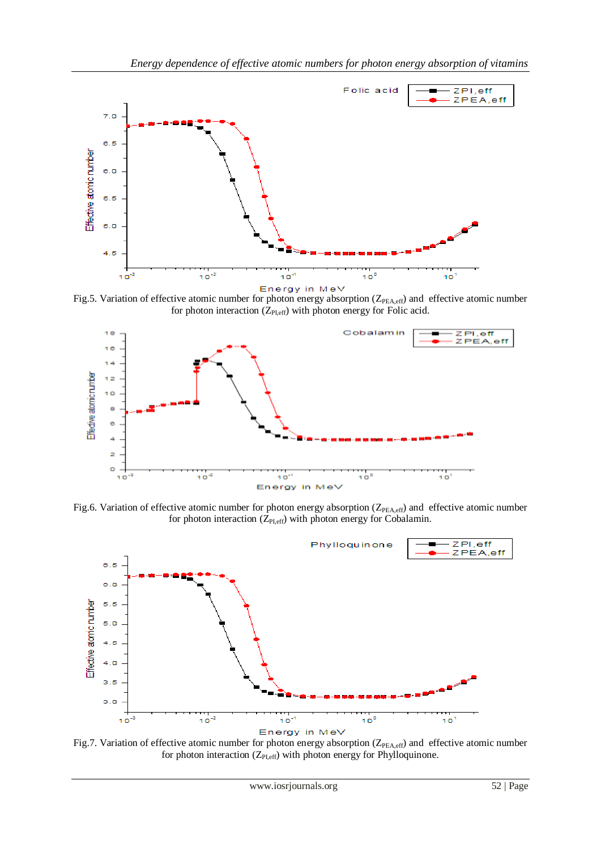

Fig.5. Variation of effective atomic number for photon energy absorption ( $Z_{PEA,eff}$ ) and effective atomic number for photon interaction  $(Z_{PLeff})$  with photon energy for Folic acid.



Fig.6. Variation of effective atomic number for photon energy absorption (Z<sub>PEA,eff</sub>) and effective atomic number for photon interaction  $(Z_{PLeff})$  with photon energy for Cobalamin.



Fig.7. Variation of effective atomic number for photon energy absorption ( $Z_{PEA,eff}$ ) and effective atomic number for photon interaction ( $Z_{PI,eff}$ ) with photon energy for Phylloquinone.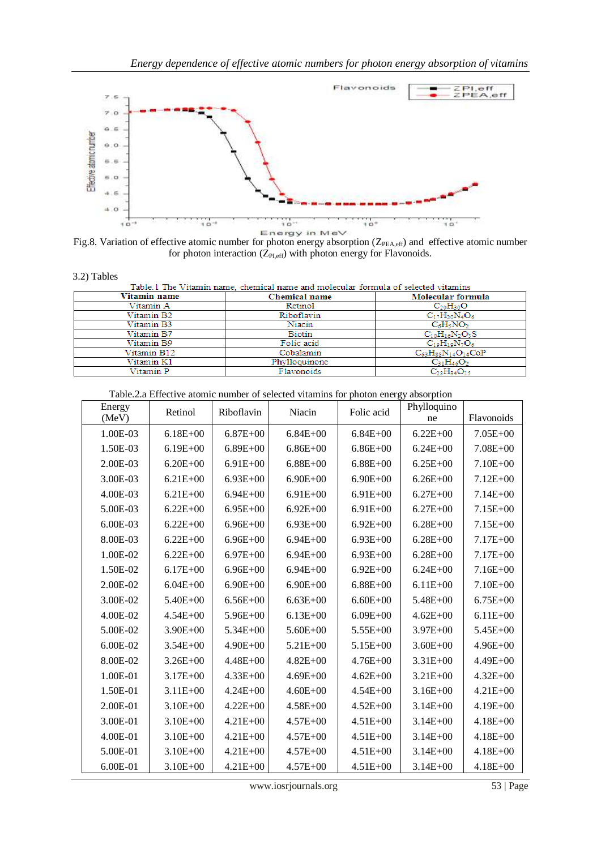

Fig.8. Variation of effective atomic number for photon energy absorption ( $Z_{\text{PEA,eff}}$ ) and effective atomic number for photon interaction  $(Z_{PLeff})$  with photon energy for Flavonoids.

|  | 3.2) Tables |
|--|-------------|
|--|-------------|

|  | Table 1 The Vitamin name, chemical name and molecular formula of selected vitamins |  |  |  |  |
|--|------------------------------------------------------------------------------------|--|--|--|--|
|  |                                                                                    |  |  |  |  |

| Vitamin name | <b>Chemical name</b> | Molecular formula             |
|--------------|----------------------|-------------------------------|
| Vitamin A    | Retinol              | $C_{20}H_{30}O$               |
| Vitamin B2   | Riboflavin           | $C_{17}H_{20}N_4O_6$          |
| Vitamin B3   | Niacin               | $C_6H_5NO_2$                  |
| Vitamin B7   | Biotin               | $C_{10}H_{16}N_2O_3S$         |
| Vitamin B9   | Folic acid           | $C_{10}H_{10}N_7O_6$          |
| Vitamin B12  | Cobalamin            | $C_{63}H_{88}N_{14}O_{14}CoP$ |
| Vitamin K1   | Phylloquinone        | $C_{31}H_{46}O_2$             |
| Vitamin P    | Flavonoids           | $C_{28}H_{34}O_{15}$          |

| Table.2.a Effective atomic number of selected vitamins for photon energy absorption |  |  |  |
|-------------------------------------------------------------------------------------|--|--|--|
|                                                                                     |  |  |  |

| Energy<br>(MeV) | Retinol      | Riboflavin   | Niacin       | Folic acid   | Phylloquino<br>ne | Flavonoids   |
|-----------------|--------------|--------------|--------------|--------------|-------------------|--------------|
| 1.00E-03        | $6.18E + 00$ | $6.87E + 00$ | $6.84E + 00$ | $6.84E + 00$ | $6.22E + 00$      | $7.05E + 00$ |
| 1.50E-03        | $6.19E + 00$ | $6.89E + 00$ | $6.86E + 00$ | $6.86E + 00$ | $6.24E + 00$      | $7.08E + 00$ |
| 2.00E-03        | $6.20E + 00$ | $6.91E + 00$ | $6.88E + 00$ | $6.88E + 00$ | $6.25E + 00$      | $7.10E + 00$ |
| 3.00E-03        | $6.21E + 00$ | $6.93E + 00$ | $6.90E + 00$ | $6.90E + 00$ | $6.26E + 00$      | $7.12E + 00$ |
| 4.00E-03        | $6.21E + 00$ | $6.94E + 00$ | $6.91E + 00$ | $6.91E + 00$ | $6.27E + 00$      | $7.14E + 00$ |
| 5.00E-03        | $6.22E + 00$ | $6.95E+00$   | $6.92E + 00$ | $6.91E+00$   | $6.27E + 00$      | $7.15E + 00$ |
| 6.00E-03        | $6.22E + 00$ | $6.96E + 00$ | $6.93E + 00$ | $6.92E + 00$ | $6.28E + 00$      | $7.15E + 00$ |
| 8.00E-03        | $6.22E + 00$ | $6.96E + 00$ | $6.94E + 00$ | $6.93E + 00$ | $6.28E + 00$      | $7.17E + 00$ |
| 1.00E-02        | $6.22E + 00$ | $6.97E + 00$ | $6.94E + 00$ | $6.93E + 00$ | $6.28E + 00$      | $7.17E + 00$ |
| 1.50E-02        | $6.17E + 00$ | $6.96E + 00$ | $6.94E + 00$ | $6.92E + 00$ | $6.24E + 00$      | $7.16E + 00$ |
| 2.00E-02        | $6.04E + 00$ | $6.90E + 00$ | $6.90E + 00$ | $6.88E + 00$ | $6.11E + 00$      | $7.10E + 00$ |
| 3.00E-02        | 5.40E+00     | $6.56E + 00$ | $6.63E + 00$ | $6.60E + 00$ | $5.48E + 00$      | $6.75E + 00$ |
| 4.00E-02        | $4.54E + 00$ | $5.96E + 00$ | $6.13E + 00$ | $6.09E + 00$ | $4.62E + 00$      | $6.11E + 00$ |
| 5.00E-02        | $3.90E + 00$ | $5.34E + 00$ | $5.60E + 00$ | $5.55E+00$   | $3.97E + 00$      | $5.45E+00$   |
| $6.00E-02$      | $3.54E + 00$ | $4.90E + 00$ | $5.21E + 00$ | $5.15E + 00$ | $3.60E + 00$      | $4.96E + 00$ |
| 8.00E-02        | $3.26E + 00$ | $4.48E + 00$ | $4.82E + 00$ | $4.76E + 00$ | $3.31E + 00$      | $4.49E + 00$ |
| 1.00E-01        | $3.17E + 00$ | $4.33E + 00$ | $4.69E + 00$ | $4.62E + 00$ | $3.21E + 00$      | $4.32E + 00$ |
| 1.50E-01        | $3.11E + 00$ | $4.24E + 00$ | $4.60E + 00$ | $4.54E + 00$ | $3.16E + 00$      | $4.21E + 00$ |
| 2.00E-01        | $3.10E + 00$ | $4.22E + 00$ | $4.58E + 00$ | $4.52E + 00$ | $3.14E + 00$      | $4.19E + 00$ |
| 3.00E-01        | $3.10E + 00$ | $4.21E + 00$ | $4.57E + 00$ | $4.51E + 00$ | $3.14E + 00$      | $4.18E + 00$ |
| 4.00E-01        | $3.10E + 00$ | $4.21E + 00$ | $4.57E + 00$ | $4.51E + 00$ | $3.14E + 00$      | $4.18E + 00$ |
| 5.00E-01        | $3.10E + 00$ | $4.21E + 00$ | $4.57E + 00$ | $4.51E + 00$ | $3.14E + 00$      | $4.18E + 00$ |
| 6.00E-01        | $3.10E + 00$ | $4.21E + 00$ | $4.57E + 00$ | $4.51E + 00$ | $3.14E + 00$      | $4.18E + 00$ |

www.iosrjournals.org 53 | Page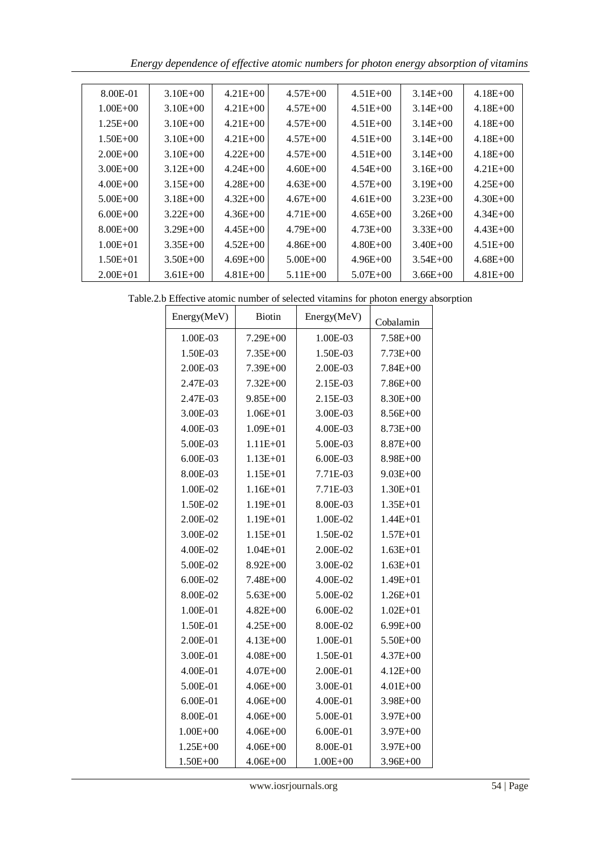*Energy dependence of effective atomic numbers for photon energy absorption of vitamins* 

| 8.00E-01     | $3.10E + 00$ | $4.21E + 00$ | $4.57E + 00$ | $4.51E + 00$ | $3.14E + 00$ | $4.18E + 00$ |
|--------------|--------------|--------------|--------------|--------------|--------------|--------------|
| $1.00E + 00$ | $3.10E + 00$ | $4.21E + 00$ | $4.57E + 00$ | $4.51E + 00$ | $3.14E + 00$ | $4.18E + 00$ |
| $1.25E + 00$ | $3.10E + 00$ | $4.21E + 00$ | $4.57E + 00$ | $4.51E + 00$ | $3.14E + 00$ | $4.18E + 00$ |
| $1.50E + 00$ | $3.10E + 00$ | $4.21E + 00$ | $4.57E + 00$ | $4.51E + 00$ | $3.14E + 00$ | $4.18E + 00$ |
| $2.00E + 00$ | $3.10E + 00$ | $4.22E + 00$ | $4.57E + 00$ | $4.51E + 00$ | $3.14E + 00$ | $4.18E + 00$ |
| $3.00E + 00$ | $3.12E + 00$ | $4.24E + 00$ | $4.60E + 00$ | $4.54E + 00$ | $3.16E + 00$ | $4.21E + 00$ |
| $4.00E + 00$ | $3.15E + 00$ | $4.28E + 00$ | $4.63E + 00$ | $4.57E + 00$ | $3.19E + 00$ | $4.25E + 00$ |
| $5.00E + 00$ | $3.18E + 00$ | $4.32E + 00$ | $4.67E + 00$ | $4.61E + 00$ | $3.23E + 00$ | $4.30E + 00$ |
| $6.00E + 00$ | $3.22E + 00$ | $4.36E + 00$ | $4.71E + 00$ | $4.65E + 00$ | $3.26E + 00$ | $4.34E + 00$ |
| $8.00E + 00$ | $3.29E + 00$ | $4.45E + 00$ | $4.79E + 00$ | $4.73E + 00$ | $3.33E + 00$ | $4.43E + 00$ |
| $1.00E + 01$ | $3.35E + 00$ | $4.52E + 00$ | $4.86E + 00$ | $4.80E + 00$ | $3.40E + 00$ | $4.51E + 00$ |
| $1.50E + 01$ | $3.50E + 00$ | $4.69E + 00$ | $5.00E + 00$ | $4.96E + 00$ | $3.54E + 00$ | $4.68E + 00$ |
| $2.00E + 01$ | $3.61E + 00$ | $4.81E + 00$ | $5.11E + 00$ | $5.07E + 00$ | $3.66E + 00$ | $4.81E + 00$ |

| Table.2.b Effective atomic number of selected vitamins for photon energy absorption |
|-------------------------------------------------------------------------------------|
|-------------------------------------------------------------------------------------|

| Energy(MeV)  | Biotin       | Energy(MeV)  | Cobalamin    |
|--------------|--------------|--------------|--------------|
| 1.00E-03     | $7.29E + 00$ | 1.00E-03     | 7.58E+00     |
| 1.50E-03     | $7.35E + 00$ | 1.50E-03     | $7.73E + 00$ |
| 2.00E-03     | $7.39E + 00$ | 2.00E-03     | $7.84E + 00$ |
| 2.47E-03     | $7.32E + 00$ | 2.15E-03     | $7.86E + 00$ |
| 2.47E-03     | $9.85E + 00$ | 2.15E-03     | 8.30E+00     |
| 3.00E-03     | $1.06E + 01$ | 3.00E-03     | $8.56E + 00$ |
| 4.00E-03     | $1.09E + 01$ | 4.00E-03     | $8.73E + 00$ |
| 5.00E-03     | $1.11E + 01$ | 5.00E-03     | $8.87E + 00$ |
| 6.00E-03     | $1.13E + 01$ | 6.00E-03     | $8.98E + 00$ |
| 8.00E-03     | $1.15E + 01$ | 7.71E-03     | $9.03E + 00$ |
| 1.00E-02     | $1.16E + 01$ | 7.71E-03     | $1.30E + 01$ |
| 1.50E-02     | $1.19E + 01$ | 8.00E-03     | $1.35E + 01$ |
| 2.00E-02     | $1.19E + 01$ | 1.00E-02     | $1.44E + 01$ |
| 3.00E-02     | $1.15E + 01$ | 1.50E-02     | $1.57E + 01$ |
| 4.00E-02     | $1.04E + 01$ | 2.00E-02     | $1.63E + 01$ |
| 5.00E-02     | $8.92E + 00$ | 3.00E-02     | $1.63E + 01$ |
| 6.00E-02     | $7.48E + 00$ | 4.00E-02     | $1.49E + 01$ |
| 8.00E-02     | $5.63E + 00$ | 5.00E-02     | $1.26E + 01$ |
| 1.00E-01     | $4.82E + 00$ | $6.00E-02$   | $1.02E + 01$ |
| 1.50E-01     | $4.25E + 00$ | 8.00E-02     | $6.99E + 00$ |
| 2.00E-01     | $4.13E + 00$ | 1.00E-01     | 5.50E+00     |
| 3.00E-01     | $4.08E + 00$ | 1.50E-01     | $4.37E + 00$ |
| 4.00E-01     | $4.07E + 00$ | 2.00E-01     | $4.12E + 00$ |
| 5.00E-01     | $4.06E + 00$ | 3.00E-01     | $4.01E + 00$ |
| 6.00E-01     | $4.06E + 00$ | 4.00E-01     | $3.98E + 00$ |
| 8.00E-01     | $4.06E + 00$ | 5.00E-01     | 3.97E+00     |
| $1.00E + 00$ | $4.06E + 00$ | 6.00E-01     | 3.97E+00     |
| $1.25E + 00$ | $4.06E + 00$ | 8.00E-01     | 3.97E+00     |
| $1.50E + 00$ | $4.06E + 00$ | $1.00E + 00$ | $3.96E + 00$ |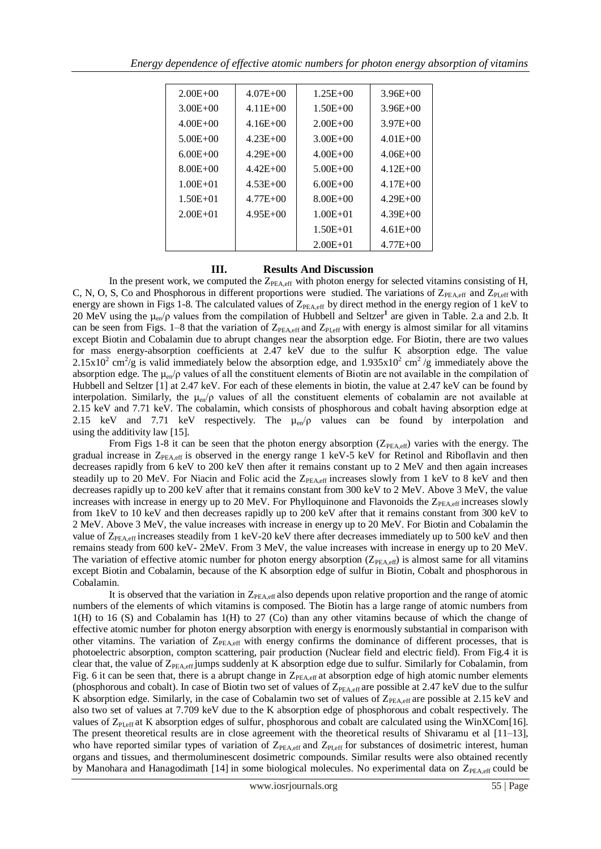| $2.00E + 00$ | $4.07E + 00$ | $1.25E + 00$ | $3.96E + 00$ |
|--------------|--------------|--------------|--------------|
| $3.00E + 00$ | $4.11E + 00$ | $1.50E + 00$ | $3.96E + 00$ |
| $4.00E + 00$ | $4.16E + 00$ | $2.00E + 00$ | $3.97E + 00$ |
| $5.00E + 00$ | $4.23E + 00$ | $3.00E + 00$ | $4.01E + 00$ |
| $6.00E + 00$ | $4.29E + 00$ | $4.00E + 00$ | $4.06E + 00$ |
| $8.00E + 00$ | $4.42E + 00$ | $5.00E + 00$ | $4.12E + 00$ |
| $1.00E + 01$ | $4.53E + 00$ | $6.00E + 00$ | $4.17E + 00$ |
| $1.50E + 01$ | $4.77E + 00$ | $8.00E + 00$ | $4.29E + 00$ |
| $2.00E + 01$ | $4.95E + 00$ | $1.00E + 01$ | $4.39E + 00$ |
|              |              | $1.50E + 01$ | $4.61E + 00$ |
|              |              | $2.00E + 01$ | $4.77E + 00$ |

## **III. Results And Discussion**

In the present work, we computed the  $Z_{PEA,eff}$  with photon energy for selected vitamins consisting of H, C, N, O, S, Co and Phosphorous in different proportions were studied. The variations of  $Z_{PEA,eff}$  and  $Z_{PLeff}$  with energy are shown in Figs 1-8. The calculated values of  $Z_{\text{PFA,eff}}$  by direct method in the energy region of 1 keV to 20 MeV using the µen/ρ values from the compilation of Hubbell and Seltzer**<sup>1</sup>** are given in Table. 2.a and 2.b. It can be seen from Figs. 1–8 that the variation of  $Z_{PEA,eff}$  and  $Z_{PLeff}$  with energy is almost similar for all vitamins except Biotin and Cobalamin due to abrupt changes near the absorption edge. For Biotin, there are two values for mass energy-absorption coefficients at 2.47 keV due to the sulfur K absorption edge. The value 2.15x10<sup>2</sup> cm<sup>2</sup>/g is valid immediately below the absorption edge, and 1.935x10<sup>2</sup> cm<sup>2</sup>/g immediately above the absorption edge. The µen/ρ values of all the constituent elements of Biotin are not available in the compilation of Hubbell and Seltzer [1] at 2.47 keV. For each of these elements in biotin, the value at 2.47 keV can be found by interpolation. Similarly, the  $\mu_{en}/\rho$  values of all the constituent elements of cobalamin are not available at 2.15 keV and 7.71 keV. The cobalamin, which consists of phosphorous and cobalt having absorption edge at 2.15 keV and 7.71 keV respectively. The  $\mu_{en}/\rho$  values can be found by interpolation and using the additivity law [15].

From Figs 1-8 it can be seen that the photon energy absorption  $(Z_{PEA,eff})$  varies with the energy. The gradual increase in  $Z_{PEA,eff}$  is observed in the energy range 1 keV-5 keV for Retinol and Riboflavin and then decreases rapidly from 6 keV to 200 keV then after it remains constant up to 2 MeV and then again increases steadily up to 20 MeV. For Niacin and Folic acid the  $Z_{PEA,eff}$  increases slowly from 1 keV to 8 keV and then decreases rapidly up to 200 keV after that it remains constant from 300 keV to 2 MeV. Above 3 MeV, the value increases with increase in energy up to 20 MeV. For Phylloquinone and Flavonoids the  $Z_{\text{PEA,eff}}$  increases slowly from 1keV to 10 keV and then decreases rapidly up to 200 keV after that it remains constant from 300 keV to 2 MeV. Above 3 MeV, the value increases with increase in energy up to 20 MeV. For Biotin and Cobalamin the value of  $Z_{PEA,eff}$  increases steadily from 1 keV-20 keV there after decreases immediately up to 500 keV and then remains steady from 600 keV- 2MeV. From 3 MeV, the value increases with increase in energy up to 20 MeV. The variation of effective atomic number for photon energy absorption ( $Z_{PFA, eff}$ ) is almost same for all vitamins except Biotin and Cobalamin, because of the K absorption edge of sulfur in Biotin, Cobalt and phosphorous in Cobalamin.

It is observed that the variation in  $Z_{PEA,eff}$  also depends upon relative proportion and the range of atomic numbers of the elements of which vitamins is composed. The Biotin has a large range of atomic numbers from 1(H) to 16 (S) and Cobalamin has 1(H) to 27 (Co) than any other vitamins because of which the change of effective atomic number for photon energy absorption with energy is enormously substantial in comparison with other vitamins. The variation of  $Z_{PEA,eff}$  with energy confirms the dominance of different processes, that is photoelectric absorption, compton scattering, pair production (Nuclear field and electric field). From Fig.4 it is clear that, the value of  $Z_{PEA,eff}$  jumps suddenly at K absorption edge due to sulfur. Similarly for Cobalamin, from Fig. 6 it can be seen that, there is a abrupt change in  $Z_{PEA,eff}$  at absorption edge of high atomic number elements (phosphorous and cobalt). In case of Biotin two set of values of  $Z_{PEA,eff}$  are possible at 2.47 keV due to the sulfur K absorption edge. Similarly, in the case of Cobalamin two set of values of  $Z_{PEA,eff}$  are possible at 2.15 keV and also two set of values at 7.709 keV due to the K absorption edge of phosphorous and cobalt respectively. The values of  $Z_{PLeff}$  at K absorption edges of sulfur, phosphorous and cobalt are calculated using the WinXCom[16]. The present theoretical results are in close agreement with the theoretical results of Shivaramu et al [11–13], who have reported similar types of variation of  $Z_{PEA, eff}$  and  $Z_{PLeff}$  for substances of dosimetric interest, human organs and tissues, and thermoluminescent dosimetric compounds. Similar results were also obtained recently by Manohara and Hanagodimath  $[14]$  in some biological molecules. No experimental data on  $Z_{\text{PFA,eff}}$  could be